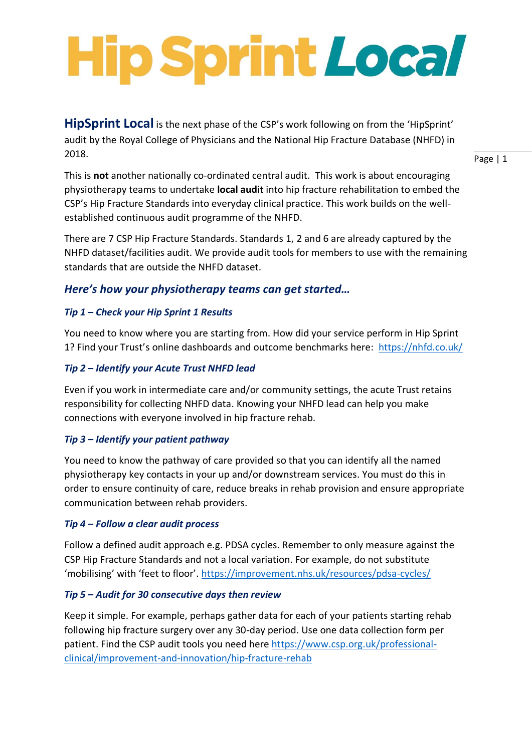# **Hip Sprint Local**

**HipSprint Local** is the next phase of the CSP's work following on from the 'HipSprint' audit by the Royal College of Physicians and the National Hip Fracture Database (NHFD) in 2018.

Page | 1

This is **not** another nationally co-ordinated central audit. This work is about encouraging physiotherapy teams to undertake **local audit** into hip fracture rehabilitation to embed the CSP's Hip Fracture Standards into everyday clinical practice. This work builds on the wellestablished continuous audit programme of the NHFD.

There are 7 CSP Hip Fracture Standards. Standards 1, 2 and 6 are already captured by the NHFD dataset/facilities audit. We provide audit tools for members to use with the remaining standards that are outside the NHFD dataset.

# *Here's how your physiotherapy teams can get started…*

# *Tip 1 – Check your Hip Sprint 1 Results*

You need to know where you are starting from. How did your service perform in Hip Sprint 1? Find your Trust's online dashboards and outcome benchmarks here: <https://nhfd.co.uk/>

## *Tip 2 – Identify your Acute Trust NHFD lead*

Even if you work in intermediate care and/or community settings, the acute Trust retains responsibility for collecting NHFD data. Knowing your NHFD lead can help you make connections with everyone involved in hip fracture rehab.

## *Tip 3 – Identify your patient pathway*

You need to know the pathway of care provided so that you can identify all the named physiotherapy key contacts in your up and/or downstream services. You must do this in order to ensure continuity of care, reduce breaks in rehab provision and ensure appropriate communication between rehab providers.

## *Tip 4 – Follow a clear audit process*

Follow a defined audit approach e.g. PDSA cycles. Remember to only measure against the CSP Hip Fracture Standards and not a local variation. For example, do not substitute 'mobilising' with 'feet to floor'.<https://improvement.nhs.uk/resources/pdsa-cycles/>

## *Tip 5 – Audit for 30 consecutive days then review*

Keep it simple. For example, perhaps gather data for each of your patients starting rehab following hip fracture surgery over any 30-day period. Use one data collection form per patient. Find the CSP audit tools you need here [https://www.csp.org.uk/professional](https://www.csp.org.uk/professional-clinical/improvement-and-innovation/hip-fracture-rehab)[clinical/improvement-and-innovation/hip-fracture-rehab](https://www.csp.org.uk/professional-clinical/improvement-and-innovation/hip-fracture-rehab)